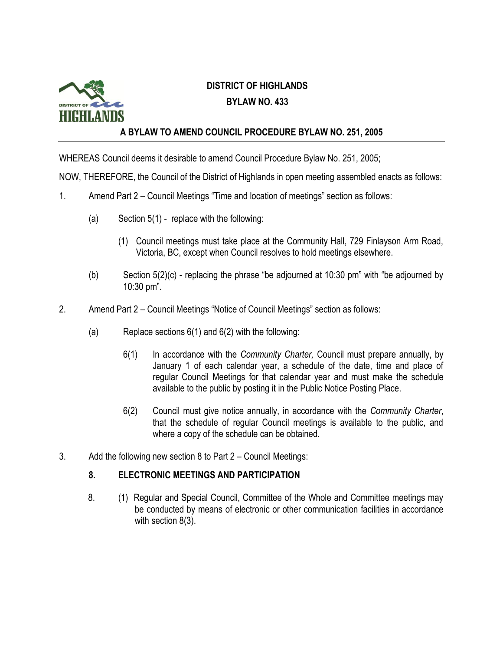

## **DISTRICT OF HIGHLANDS BYLAW NO. 433**

## **A BYLAW TO AMEND COUNCIL PROCEDURE BYLAW NO. 251, 2005**

WHEREAS Council deems it desirable to amend Council Procedure Bylaw No. 251, 2005;

NOW, THEREFORE, the Council of the District of Highlands in open meeting assembled enacts as follows:

- 1. Amend Part 2 Council Meetings "Time and location of meetings" section as follows:
	- (a) Section  $5(1)$  replace with the following:
		- (1) Council meetings must take place at the Community Hall, 729 Finlayson Arm Road, Victoria, BC, except when Council resolves to hold meetings elsewhere.
	- (b) Section 5(2)(c) replacing the phrase "be adjourned at 10:30 pm" with "be adjourned by 10:30 pm".
- 2. Amend Part 2 Council Meetings "Notice of Council Meetings" section as follows:
	- (a) Replace sections  $6(1)$  and  $6(2)$  with the following:
		- 6(1) In accordance with the *Community Charter,* Council must prepare annually, by January 1 of each calendar year, a schedule of the date, time and place of regular Council Meetings for that calendar year and must make the schedule available to the public by posting it in the Public Notice Posting Place.
		- 6(2) Council must give notice annually, in accordance with the *Community Charter*, that the schedule of regular Council meetings is available to the public, and where a copy of the schedule can be obtained.
- 3. Add the following new section 8 to Part 2 Council Meetings:

## **8. ELECTRONIC MEETINGS AND PARTICIPATION**

8. (1) Regular and Special Council, Committee of the Whole and Committee meetings may be conducted by means of electronic or other communication facilities in accordance with section 8(3).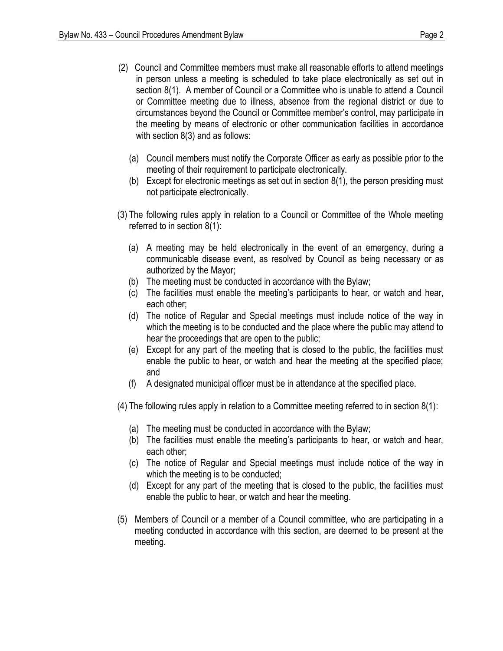- (2) Council and Committee members must make all reasonable efforts to attend meetings in person unless a meeting is scheduled to take place electronically as set out in section 8(1). A member of Council or a Committee who is unable to attend a Council or Committee meeting due to illness, absence from the regional district or due to circumstances beyond the Council or Committee member's control, may participate in the meeting by means of electronic or other communication facilities in accordance with section 8(3) and as follows:
	- (a) Council members must notify the Corporate Officer as early as possible prior to the meeting of their requirement to participate electronically.
	- (b) Except for electronic meetings as set out in section 8(1), the person presiding must not participate electronically.
- (3) The following rules apply in relation to a Council or Committee of the Whole meeting referred to in section 8(1):
	- (a) A meeting may be held electronically in the event of an emergency, during a communicable disease event, as resolved by Council as being necessary or as authorized by the Mayor;
	- (b) The meeting must be conducted in accordance with the Bylaw;
	- (c) The facilities must enable the meeting's participants to hear, or watch and hear, each other;
	- (d) The notice of Regular and Special meetings must include notice of the way in which the meeting is to be conducted and the place where the public may attend to hear the proceedings that are open to the public;
	- (e) Except for any part of the meeting that is closed to the public, the facilities must enable the public to hear, or watch and hear the meeting at the specified place; and
	- (f) A designated municipal officer must be in attendance at the specified place.
- (4) The following rules apply in relation to a Committee meeting referred to in section 8(1):
	- (a) The meeting must be conducted in accordance with the Bylaw;
	- (b) The facilities must enable the meeting's participants to hear, or watch and hear, each other;
	- (c) The notice of Regular and Special meetings must include notice of the way in which the meeting is to be conducted;
	- (d) Except for any part of the meeting that is closed to the public, the facilities must enable the public to hear, or watch and hear the meeting.
- (5) Members of Council or a member of a Council committee, who are participating in a meeting conducted in accordance with this section, are deemed to be present at the meeting.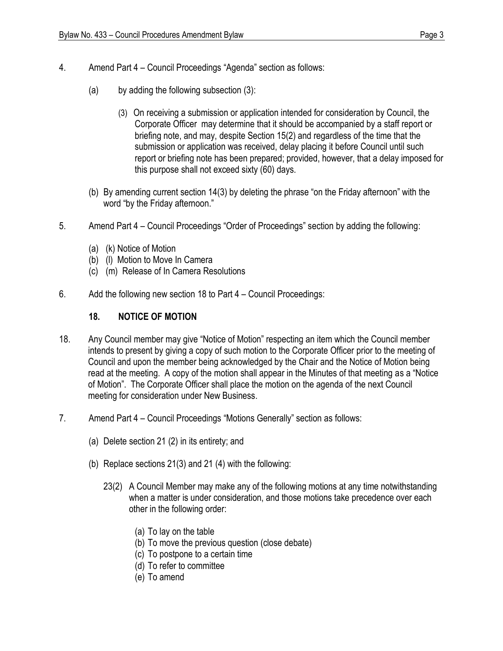- 4. Amend Part 4 Council Proceedings "Agenda" section as follows:
	- (a) by adding the following subsection (3):
		- (3) On receiving a submission or application intended for consideration by Council, the Corporate Officer may determine that it should be accompanied by a staff report or briefing note, and may, despite Section 15(2) and regardless of the time that the submission or application was received, delay placing it before Council until such report or briefing note has been prepared; provided, however, that a delay imposed for this purpose shall not exceed sixty (60) days.
	- (b) By amending current section 14(3) by deleting the phrase "on the Friday afternoon" with the word "by the Friday afternoon."
- 5. Amend Part 4 Council Proceedings "Order of Proceedings" section by adding the following:
	- (a) (k) Notice of Motion
	- (b) (l) Motion to Move In Camera
	- (c) (m) Release of In Camera Resolutions
- 6. Add the following new section 18 to Part 4 Council Proceedings:

## **18. NOTICE OF MOTION**

- 18. Any Council member may give "Notice of Motion" respecting an item which the Council member intends to present by giving a copy of such motion to the Corporate Officer prior to the meeting of Council and upon the member being acknowledged by the Chair and the Notice of Motion being read at the meeting. A copy of the motion shall appear in the Minutes of that meeting as a "Notice of Motion". The Corporate Officer shall place the motion on the agenda of the next Council meeting for consideration under New Business.
- 7. Amend Part 4 Council Proceedings "Motions Generally" section as follows:
	- (a) Delete section 21 (2) in its entirety; and
	- (b) Replace sections 21(3) and 21 (4) with the following:
		- 23(2) A Council Member may make any of the following motions at any time notwithstanding when a matter is under consideration, and those motions take precedence over each other in the following order:
			- (a) To lay on the table
			- (b) To move the previous question (close debate)
			- (c) To postpone to a certain time
			- (d) To refer to committee
			- (e) To amend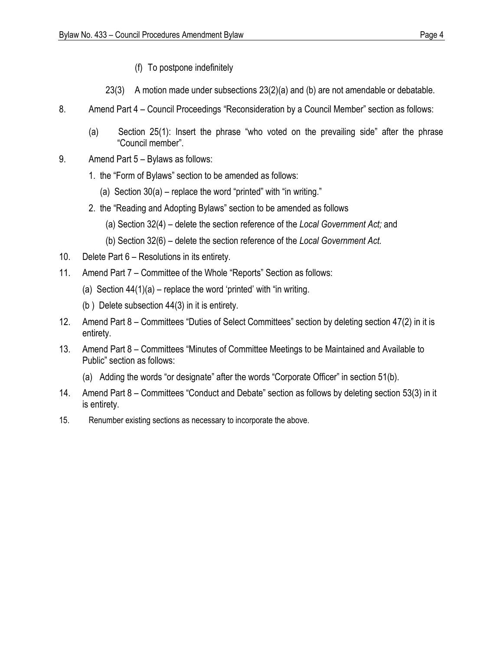- (f) To postpone indefinitely
- 23(3) A motion made under subsections 23(2)(a) and (b) are not amendable or debatable.
- 8. Amend Part 4 Council Proceedings "Reconsideration by a Council Member" section as follows:
	- (a) Section 25(1): Insert the phrase "who voted on the prevailing side" after the phrase "Council member".
- 9. Amend Part 5 Bylaws as follows:
	- 1. the "Form of Bylaws" section to be amended as follows:
		- (a) Section 30(a) replace the word "printed" with "in writing."
	- 2. the "Reading and Adopting Bylaws" section to be amended as follows
		- (a) Section 32(4) delete the section reference of the *Local Government Act;* and
		- (b) Section 32(6) delete the section reference of the *Local Government Act.*
- 10. Delete Part 6 Resolutions in its entirety.
- 11. Amend Part 7 Committee of the Whole "Reports" Section as follows:
	- (a) Section  $44(1)(a)$  replace the word 'printed' with "in writing.
	- (b ) Delete subsection 44(3) in it is entirety.
- 12. Amend Part 8 Committees "Duties of Select Committees" section by deleting section 47(2) in it is entirety.
- 13. Amend Part 8 Committees "Minutes of Committee Meetings to be Maintained and Available to Public" section as follows:
	- (a) Adding the words "or designate" after the words "Corporate Officer" in section 51(b).
- 14. Amend Part 8 Committees "Conduct and Debate" section as follows by deleting section 53(3) in it is entirety.
- 15. Renumber existing sections as necessary to incorporate the above.